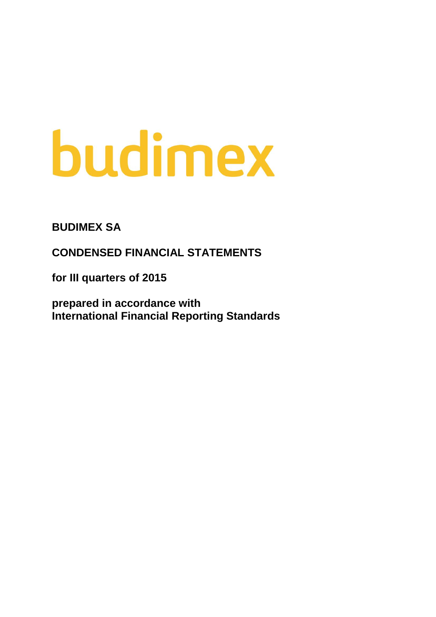# budimex

**BUDIMEX SA**

**CONDENSED FINANCIAL STATEMENTS**

**for III quarters of 2015**

**prepared in accordance with International Financial Reporting Standards**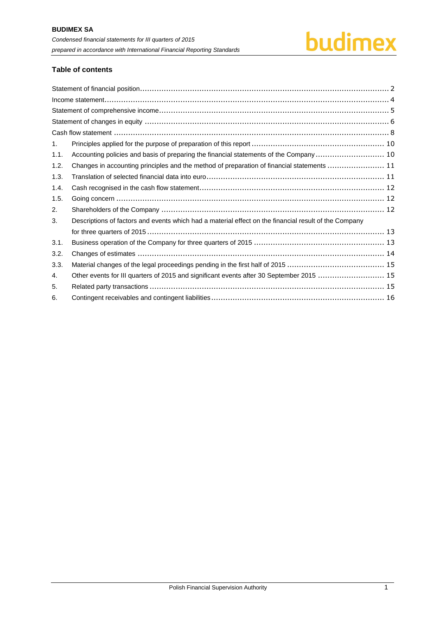

# **Table of contents**

| 1.   |                                                                                                       |
|------|-------------------------------------------------------------------------------------------------------|
| 1.1. | Accounting policies and basis of preparing the financial statements of the Company  10                |
| 1.2. | Changes in accounting principles and the method of preparation of financial statements  11            |
| 1.3. |                                                                                                       |
| 1.4. |                                                                                                       |
| 1.5. |                                                                                                       |
| 2.   |                                                                                                       |
| 3.   | Descriptions of factors and events which had a material effect on the financial result of the Company |
|      |                                                                                                       |
| 3.1. |                                                                                                       |
| 3.2. |                                                                                                       |
| 3.3. |                                                                                                       |
| 4.   | Other events for III quarters of 2015 and significant events after 30 September 2015  15              |
| 5.   |                                                                                                       |
| 6.   |                                                                                                       |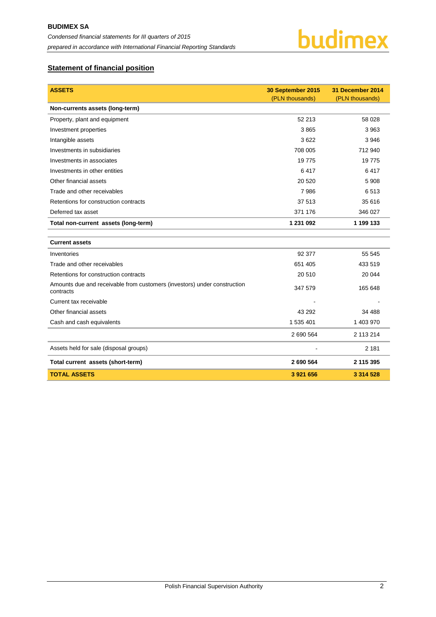

# <span id="page-2-0"></span>**Statement of financial position**

| <b>ASSETS</b>                                                                         | 30 September 2015 | 31 December 2014 |
|---------------------------------------------------------------------------------------|-------------------|------------------|
|                                                                                       | (PLN thousands)   | (PLN thousands)  |
| Non-currents assets (long-term)                                                       |                   |                  |
| Property, plant and equipment                                                         | 52 213            | 58 0 28          |
| Investment properties                                                                 | 3865              | 3 9 6 3          |
| Intangible assets                                                                     | 3622              | 3946             |
| Investments in subsidiaries                                                           | 708 005           | 712 940          |
| Investments in associates                                                             | 19775             | 19775            |
| Investments in other entities                                                         | 6417              | 6417             |
| Other financial assets                                                                | 20 5 20           | 5 9 0 8          |
| Trade and other receivables                                                           | 7986              | 6513             |
| Retentions for construction contracts                                                 | 37 513            | 35 616           |
| Deferred tax asset                                                                    | 371 176           | 346 027          |
| Total non-current assets (long-term)                                                  | 1 231 092         | 1 199 133        |
|                                                                                       |                   |                  |
| <b>Current assets</b>                                                                 |                   |                  |
| Inventories                                                                           | 92 377            | 55 545           |
| Trade and other receivables                                                           | 651 405           | 433 519          |
| Retentions for construction contracts                                                 | 20 510            | 20 044           |
| Amounts due and receivable from customers (investors) under construction<br>contracts | 347 579           | 165 648          |
| Current tax receivable                                                                |                   |                  |
| Other financial assets                                                                | 43 29 2           | 34 488           |
| Cash and cash equivalents                                                             | 1 535 401         | 1 403 970        |
|                                                                                       | 2 690 564         | 2 113 214        |
| Assets held for sale (disposal groups)                                                |                   | 2 1 8 1          |
| Total current assets (short-term)                                                     | 2 690 564         | 2 115 395        |
| <b>TOTAL ASSETS</b>                                                                   | 3 921 656         | 3 3 1 4 5 2 8    |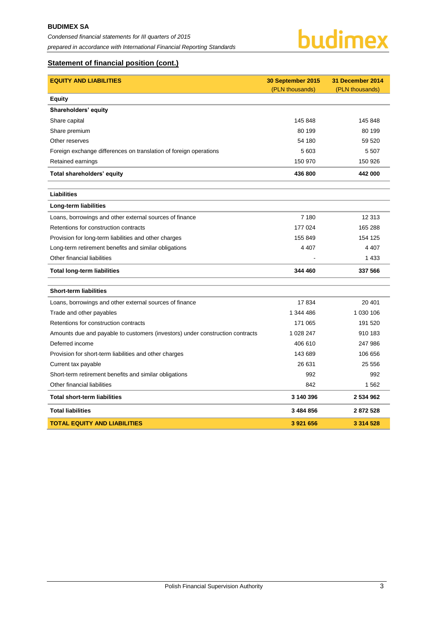

# **Statement of financial position (cont.)**

| <b>EQUITY AND LIABILITIES</b>                                                 | 30 September 2015 | 31 December 2014 |
|-------------------------------------------------------------------------------|-------------------|------------------|
|                                                                               | (PLN thousands)   | (PLN thousands)  |
| <b>Equity</b>                                                                 |                   |                  |
| Shareholders' equity                                                          |                   |                  |
| Share capital                                                                 | 145 848           | 145 848          |
| Share premium                                                                 | 80 199            | 80 199           |
| Other reserves                                                                | 54 180            | 59 520           |
| Foreign exchange differences on translation of foreign operations             | 5 603             | 5 5 0 7          |
| Retained earnings                                                             | 150 970           | 150 926          |
| Total shareholders' equity                                                    | 436 800           | 442 000          |
| Liabilities                                                                   |                   |                  |
| Long-term liabilities                                                         |                   |                  |
| Loans, borrowings and other external sources of finance                       | 7 180             | 12 313           |
| Retentions for construction contracts                                         | 177 024           | 165 288          |
| Provision for long-term liabilities and other charges                         | 155 849           | 154 125          |
| Long-term retirement benefits and similar obligations                         | 4 4 0 7           | 4 4 0 7          |
| Other financial liabilities                                                   |                   | 1 4 3 3          |
| <b>Total long-term liabilities</b>                                            | 344 460           | 337 566          |
| <b>Short-term liabilities</b>                                                 |                   |                  |
| Loans, borrowings and other external sources of finance                       | 17834             | 20 401           |
| Trade and other payables                                                      | 1 344 486         | 1 030 106        |
| Retentions for construction contracts                                         | 171 065           | 191 520          |
| Amounts due and payable to customers (investors) under construction contracts | 1 028 247         | 910 183          |
| Deferred income                                                               | 406 610           | 247 986          |
| Provision for short-term liabilities and other charges                        | 143 689           | 106 656          |
| Current tax payable                                                           | 26 631            | 25 556           |
| Short-term retirement benefits and similar obligations                        | 992               | 992              |
| Other financial liabilities                                                   | 842               | 1562             |
| <b>Total short-term liabilities</b>                                           | 3 140 396         | 2 534 962        |
| <b>Total liabilities</b>                                                      | 3 484 856         | 2872528          |
| <b>TOTAL EQUITY AND LIABILITIES</b>                                           | 3 921 656         | 3 3 1 4 5 2 8    |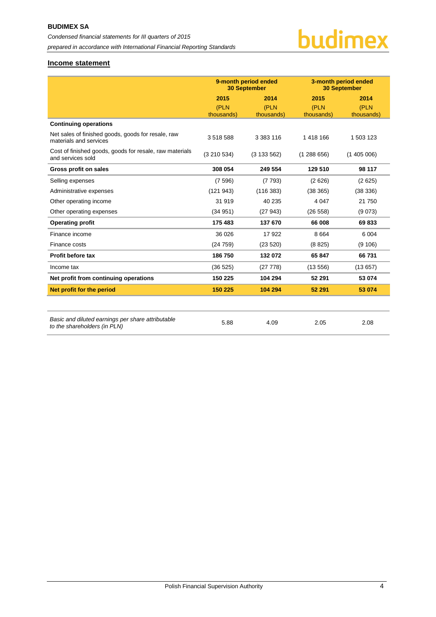

# <span id="page-4-0"></span>**Income statement**

|                                                                                   | 9-month period ended<br><b>30 September</b> |               |            | 3-month period ended<br><b>30 September</b> |
|-----------------------------------------------------------------------------------|---------------------------------------------|---------------|------------|---------------------------------------------|
|                                                                                   | 2015                                        | 2014          | 2015       | 2014                                        |
|                                                                                   | (PLN                                        | (PLN          | (PLN       | (PLN                                        |
|                                                                                   | thousands)                                  | thousands)    | thousands) | thousands)                                  |
| <b>Continuing operations</b>                                                      |                                             |               |            |                                             |
| Net sales of finished goods, goods for resale, raw<br>materials and services      | 3518588                                     | 3 3 8 3 1 1 6 | 1 418 166  | 1 503 123                                   |
| Cost of finished goods, goods for resale, raw materials<br>and services sold      | (3 210 534)                                 | (3133562)     | (1288656)  | (1405006)                                   |
| Gross profit on sales                                                             | 308 054                                     | 249 554       | 129 510    | 98 117                                      |
| Selling expenses                                                                  | (7596)                                      | (7793)        | (2626)     | (2625)                                      |
| Administrative expenses                                                           | (121943)                                    | (116383)      | (38365)    | (38 336)                                    |
| Other operating income                                                            | 31 919                                      | 40 235        | 4 0 4 7    | 21 750                                      |
| Other operating expenses                                                          | (34951)                                     | (27943)       | (26 558)   | (9073)                                      |
| <b>Operating profit</b>                                                           | 175 483                                     | 137 670       | 66 008     | 69833                                       |
| Finance income                                                                    | 36 0 26                                     | 17922         | 8 6 6 4    | 6 0 0 4                                     |
| Finance costs                                                                     | (24759)                                     | (23520)       | (8825)     | (9 106)                                     |
| Profit before tax                                                                 | 186 750                                     | 132 072       | 65 847     | 66731                                       |
| Income tax                                                                        | (36 525)                                    | (27 778)      | (13556)    | (13657)                                     |
| Net profit from continuing operations                                             | 150 225                                     | 104 294       | 52 291     | 53 074                                      |
| Net profit for the period                                                         | 150 225                                     | 104 294       | 52 291     | 53 074                                      |
|                                                                                   |                                             |               |            |                                             |
| Basic and diluted earnings per share attributable<br>to the shareholders (in PLN) | 5.88                                        | 4.09          | 2.05       | 2.08                                        |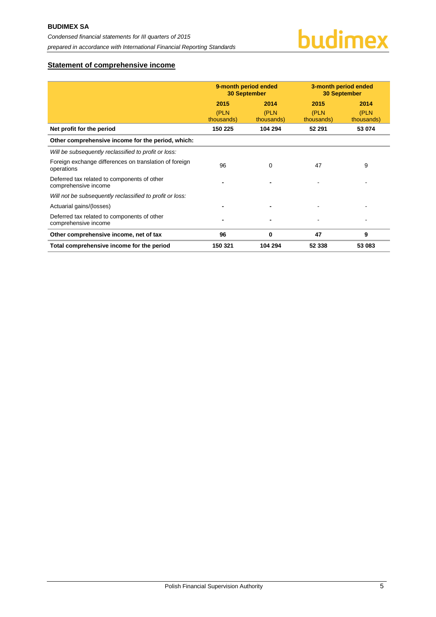# <span id="page-5-0"></span>**Statement of comprehensive income**

|                                                                      | 9-month period ended<br><b>30 September</b> |                    |                    | 3-month period ended<br><b>30 September</b> |
|----------------------------------------------------------------------|---------------------------------------------|--------------------|--------------------|---------------------------------------------|
|                                                                      | 2015                                        | 2014               | 2015               | 2014                                        |
|                                                                      | (PLN<br>thousands)                          | (PLN<br>thousands) | (PLN<br>thousands) | (PLN<br>thousands)                          |
| Net profit for the period                                            | 150 225                                     | 104 294            | 52 291             | 53 074                                      |
| Other comprehensive income for the period, which:                    |                                             |                    |                    |                                             |
| Will be subsequently reclassified to profit or loss:                 |                                             |                    |                    |                                             |
| Foreign exchange differences on translation of foreign<br>operations | 96                                          | 0                  | 47                 | 9                                           |
| Deferred tax related to components of other<br>comprehensive income  |                                             |                    |                    |                                             |
| Will not be subsequently reclassified to profit or loss:             |                                             |                    |                    |                                             |
| Actuarial gains/(losses)                                             |                                             |                    |                    |                                             |
| Deferred tax related to components of other<br>comprehensive income  |                                             |                    |                    |                                             |
| Other comprehensive income, net of tax                               | 96                                          | $\bf{0}$           | 47                 | 9                                           |
| Total comprehensive income for the period                            | 150 321                                     | 104 294            | 52 338             | 53 083                                      |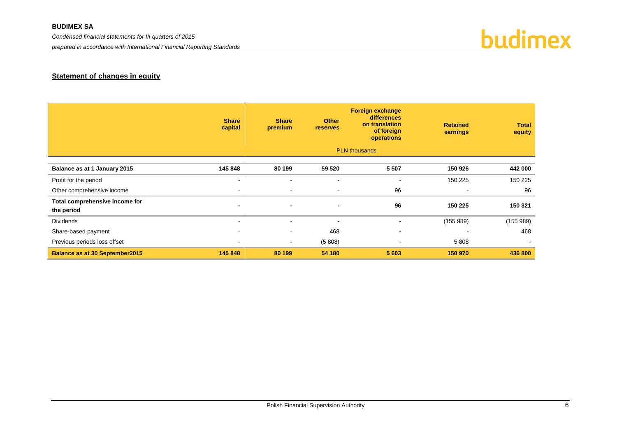# **BUDIMEX SA**

*Condensed financial statements for III quarters of 2015* 

*prepared in accordance with International Financial Reporting Standards*



# **Statement of changes in equity**

<span id="page-6-0"></span>

|                                              | <b>Share</b><br>capital  | <b>Share</b><br>premium | <b>Other</b><br><b>reserves</b> | <b>Foreign exchange</b><br>differences<br>on translation<br>of foreign<br>operations | <b>Retained</b><br>earnings | <b>Total</b><br>equity |
|----------------------------------------------|--------------------------|-------------------------|---------------------------------|--------------------------------------------------------------------------------------|-----------------------------|------------------------|
|                                              |                          |                         |                                 | <b>PLN</b> thousands                                                                 |                             |                        |
| Balance as at 1 January 2015                 | 145 848                  | 80 199                  | 59 520                          | 5 5 0 7                                                                              | 150 926                     | 442 000                |
| Profit for the period                        | $\overline{\phantom{0}}$ | $\blacksquare$          | $\blacksquare$                  | $\overline{\phantom{a}}$                                                             | 150 225                     | 150 225                |
| Other comprehensive income                   | $\sim$                   | $\,$                    | $\overline{\phantom{a}}$        | 96                                                                                   | $\blacksquare$              | 96                     |
| Total comprehensive income for<br>the period | $\blacksquare$           | $\blacksquare$          | $\blacksquare$                  | 96                                                                                   | 150 225                     | 150 321                |
| <b>Dividends</b>                             |                          |                         | $\blacksquare$                  |                                                                                      | (155989)                    | (155989)               |
| Share-based payment                          | $\sim$                   | $\blacksquare$          | 468                             |                                                                                      |                             | 468                    |
| Previous periods loss offset                 | $\blacksquare$           | $\sim$                  | (5808)                          |                                                                                      | 5808                        |                        |
| <b>Balance as at 30 September2015</b>        | 145 848                  | 80 199                  | 54 180                          | 5 603                                                                                | 150 970                     | 436 800                |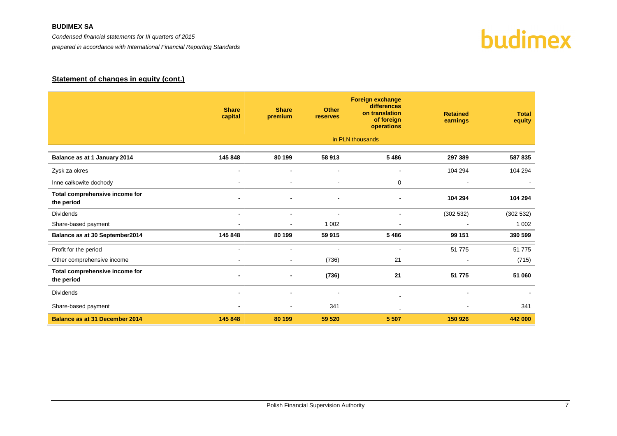*prepared in accordance with International Financial Reporting Standards*



# **Statement of changes in equity (cont.)**

|                                              | <b>Share</b><br>capital | <b>Share</b><br>premium | <b>Other</b><br>reserves | <b>Foreign exchange</b><br>differences<br>on translation<br>of foreign<br>operations | <b>Retained</b><br>earnings | <b>Total</b><br>equity |
|----------------------------------------------|-------------------------|-------------------------|--------------------------|--------------------------------------------------------------------------------------|-----------------------------|------------------------|
|                                              |                         |                         |                          | in PLN thousands                                                                     |                             |                        |
| Balance as at 1 January 2014                 | 145 848                 | 80 199                  | 58 913                   | 5 4 8 6                                                                              | 297 389                     | 587 835                |
| Zysk za okres                                |                         |                         | $\blacksquare$           | $\blacksquare$                                                                       | 104 294                     | 104 294                |
| Inne całkowite dochody                       | $\sim$                  | $\sim$                  | $\blacksquare$           | 0                                                                                    | $\overline{\phantom{a}}$    |                        |
| Total comprehensive income for<br>the period |                         |                         | $\blacksquare$           | $\blacksquare$                                                                       | 104 294                     | 104 294                |
| <b>Dividends</b>                             | $\sim$                  | $\blacksquare$          | $\blacksquare$           | $\blacksquare$                                                                       | (302532)                    | (302532)               |
| Share-based payment                          |                         |                         | 1 0 0 2                  | $\overline{a}$                                                                       |                             | 1 0 0 2                |
| Balance as at 30 September2014               | 145 848                 | 80 199                  | 59 915                   | 5 4 8 6                                                                              | 99 151                      | 390 599                |
| Profit for the period                        |                         |                         |                          | ÷.                                                                                   | 51 775                      | 51 775                 |
| Other comprehensive income                   |                         | $\sim$                  | (736)                    | 21                                                                                   |                             | (715)                  |
| Total comprehensive income for<br>the period |                         |                         | (736)                    | 21                                                                                   | 51 775                      | 51 060                 |
| <b>Dividends</b>                             | $\sim$                  |                         | $\overline{\phantom{a}}$ |                                                                                      |                             |                        |
| Share-based payment                          |                         |                         | 341                      |                                                                                      |                             | 341                    |
| <b>Balance as at 31 December 2014</b>        | 145 848                 | 80 199                  | 59 520                   | 5 5 0 7                                                                              | 150 926                     | 442 000                |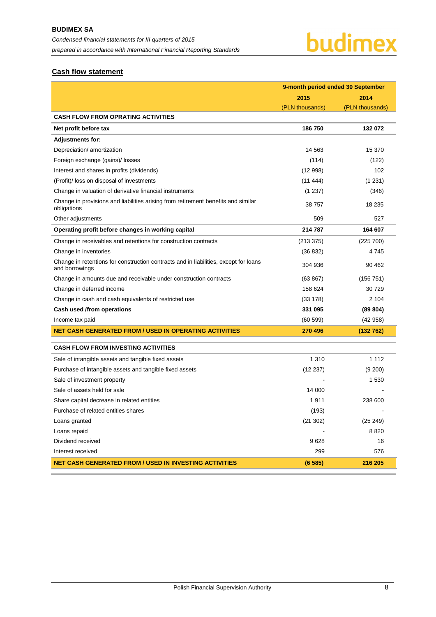# <span id="page-8-0"></span>**Cash flow statement**

|                                                                                                        | 9-month period ended 30 September |                 |  |
|--------------------------------------------------------------------------------------------------------|-----------------------------------|-----------------|--|
|                                                                                                        | 2015                              | 2014            |  |
|                                                                                                        | (PLN thousands)                   | (PLN thousands) |  |
| <b>CASH FLOW FROM OPRATING ACTIVITIES</b>                                                              |                                   |                 |  |
| Net profit before tax                                                                                  | 186 750                           | 132 072         |  |
| <b>Adjustments for:</b>                                                                                |                                   |                 |  |
| Depreciation/ amortization                                                                             | 14 5 63                           | 15 370          |  |
| Foreign exchange (gains)/ losses                                                                       | (114)                             | (122)           |  |
| Interest and shares in profits (dividends)                                                             | (12998)                           | 102             |  |
| (Profit)/ loss on disposal of investments                                                              | (11444)                           | (1231)          |  |
| Change in valuation of derivative financial instruments                                                | (1 237)                           | (346)           |  |
| Change in provisions and liabilities arising from retirement benefits and similar<br>obligations       | 38757                             | 18 235          |  |
| Other adjustments                                                                                      | 509                               | 527             |  |
| Operating profit before changes in working capital                                                     | 214 787                           | 164 607         |  |
| Change in receivables and retentions for construction contracts                                        | (213 375)                         | (225 700)       |  |
| Change in inventories                                                                                  | (36 832)                          | 4745            |  |
| Change in retentions for construction contracts and in liabilities, except for loans<br>and borrowings | 304 936                           | 90 462          |  |
| Change in amounts due and receivable under construction contracts                                      | (63 867)                          | (156 751)       |  |
| Change in deferred income                                                                              | 158 624                           | 30 729          |  |
| Change in cash and cash equivalents of restricted use                                                  | (33 178)                          | 2 104           |  |
| Cash used /from operations                                                                             | 331 095                           | (89 804)        |  |
| Income tax paid                                                                                        | (60 599)                          | (42958)         |  |
| <b>NET CASH GENERATED FROM / USED IN OPERATING ACTIVITIES</b>                                          | 270 496                           | (132 762)       |  |
| <b>CASH FLOW FROM INVESTING ACTIVITIES</b>                                                             |                                   |                 |  |
| Sale of intangible assets and tangible fixed assets                                                    | 1 3 1 0                           | 1 1 1 2         |  |
| Purchase of intangible assets and tangible fixed assets                                                | (12 237)                          | (9 200)         |  |
| Sale of investment property                                                                            |                                   | 1 530           |  |
| Sale of assets held for sale                                                                           | 14 000                            |                 |  |
| Share capital decrease in related entities                                                             | 1911                              | 238 600         |  |
| Purchase of related entities shares                                                                    | (193)                             |                 |  |
| Loans granted                                                                                          | (21302)                           | (25 249)        |  |
| Loans repaid                                                                                           |                                   | 8 8 20          |  |
| Dividend received                                                                                      | 9628                              | 16              |  |
| Interest received                                                                                      | 299                               | 576             |  |
| <b>NET CASH GENERATED FROM / USED IN INVESTING ACTIVITIES</b>                                          | (6585)                            | 216 205         |  |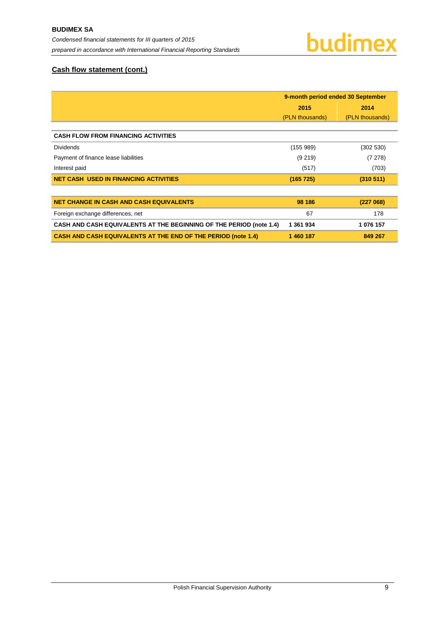# **Cash flow statement (cont.)**

|                                                                      | 9-month period ended 30 September |                 |
|----------------------------------------------------------------------|-----------------------------------|-----------------|
|                                                                      | 2015                              | 2014            |
|                                                                      | (PLN thousands)                   | (PLN thousands) |
|                                                                      |                                   |                 |
| <b>CASH FLOW FROM FINANCING ACTIVITIES</b>                           |                                   |                 |
| <b>Dividends</b>                                                     | (155989)                          | (302 530)       |
| Payment of finance lease liabilities                                 | (9219)                            | (7278)          |
| Interest paid                                                        | (517)                             | (703)           |
| <b>NET CASH USED IN FINANCING ACTIVITIES</b>                         | (165 725)                         | (310 511)       |
|                                                                      |                                   |                 |
| <b>NET CHANGE IN CASH AND CASH EQUIVALENTS</b>                       | 98 186                            | (227068)        |
| Foreign exchange differences, net                                    | 67                                | 178             |
| CASH AND CASH EQUIVALENTS AT THE BEGINNING OF THE PERIOD (note 1.4)  | 1 361 934                         | 1 076 157       |
| <b>CASH AND CASH EQUIVALENTS AT THE END OF THE PERIOD (note 1.4)</b> | 1460187                           | 849 267         |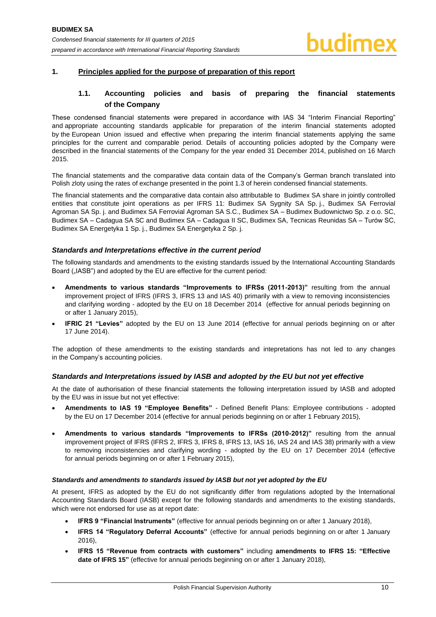# <span id="page-10-1"></span><span id="page-10-0"></span>**1. Principles applied for the purpose of preparation of this report**

# **1.1. Accounting policies and basis of preparing the financial statements of the Company**

These condensed financial statements were prepared in accordance with IAS 34 "Interim Financial Reporting" and appropriate accounting standards applicable for preparation of the interim financial statements adopted by the European Union issued and effective when preparing the interim financial statements applying the same principles for the current and comparable period. Details of accounting policies adopted by the Company were described in the financial statements of the Company for the year ended 31 December 2014, published on 16 March 2015.

The financial statements and the comparative data contain data of the Company's German branch translated into Polish zloty using the rates of exchange presented in the point 1.3 of herein condensed financial statements.

The financial statements and the comparative data contain also attributable to Budimex SA share in jointly controlled entities that constitute joint operations as per IFRS 11: Budimex SA Sygnity SA Sp. j., Budimex SA Ferrovial Agroman SA Sp. j. and Budimex SA Ferrovial Agroman SA S.C., Budimex SA – Budimex Budownictwo Sp. z o.o. SC, Budimex SA – Cadagua SA SC and Budimex SA – Cadagua II SC, Budimex SA, Tecnicas Reunidas SA – Turów SC, Budimex SA Energetyka 1 Sp. j., Budimex SA Energetyka 2 Sp. j.

## *Standards and Interpretations effective in the current period*

The following standards and amendments to the existing standards issued by the International Accounting Standards Board ("IASB") and adopted by the EU are effective for the current period:

- **Amendments to various standards "Improvements to IFRSs (2011-2013)"** resulting from the annual improvement project of IFRS (IFRS 3, IFRS 13 and IAS 40) primarily with a view to removing inconsistencies and clarifying wording - adopted by the EU on 18 December 2014 (effective for annual periods beginning on or after 1 January 2015),
- **IFRIC 21 "Levies"** adopted by the EU on 13 June 2014 (effective for annual periods beginning on or after 17 June 2014).

The adoption of these amendments to the existing standards and intepretations has not led to any changes in the Company's accounting policies.

## *Standards and Interpretations issued by IASB and adopted by the EU but not yet effective*

At the date of authorisation of these financial statements the following interpretation issued by IASB and adopted by the EU was in issue but not yet effective:

- **Amendments to IAS 19 "Employee Benefits"**  Defined Benefit Plans: Employee contributions adopted by the EU on 17 December 2014 (effective for annual periods beginning on or after 1 February 2015),
- **Amendments to various standards "Improvements to IFRSs (2010-2012)"** resulting from the annual improvement project of IFRS (IFRS 2, IFRS 3, IFRS 8, IFRS 13, IAS 16, IAS 24 and IAS 38) primarily with a view to removing inconsistencies and clarifying wording - adopted by the EU on 17 December 2014 (effective for annual periods beginning on or after 1 February 2015),

## *Standards and amendments to standards issued by IASB but not yet adopted by the EU*

At present, IFRS as adopted by the EU do not significantly differ from regulations adopted by the International Accounting Standards Board (IASB) except for the following standards and amendments to the existing standards, which were not endorsed for use as at report date:

- **IFRS 9 "Financial Instruments"** (effective for annual periods beginning on or after 1 January 2018),
- **IFRS 14 "Regulatory Deferral Accounts"** (effective for annual periods beginning on or after 1 January 2016),
- **IFRS 15 "Revenue from contracts with customers"** including **amendments to IFRS 15: "Effective date of IFRS 15"** (effective for annual periods beginning on or after 1 January 2018),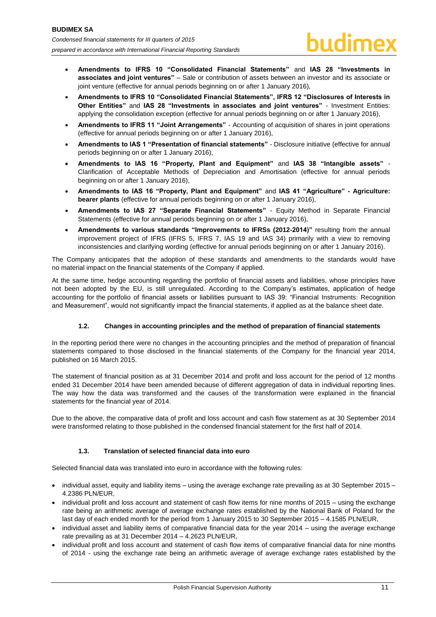- **Amendments to IFRS 10 "Consolidated Financial Statements"** and **IAS 28 "Investments in associates and joint ventures"** – Sale or contribution of assets between an investor and its associate or joint venture (effective for annual periods beginning on or after 1 January 2016).
- **Amendments to IFRS 10 "Consolidated Financial Statements", IFRS 12 "Disclosures of Interests in Other Entities"** and **IAS 28 "Investments in associates and joint ventures"** - Investment Entities: applying the consolidation exception (effective for annual periods beginning on or after 1 January 2016),
- **Amendments to IFRS 11 "Joint Arrangements"**  Accounting of acquisition of shares in joint operations (effective for annual periods beginning on or after 1 January 2016),
- **Amendments to IAS 1 "Presentation of financial statements"**  Disclosure initiative (effective for annual periods beginning on or after 1 January 2016),
- **Amendments to IAS 16 "Property, Plant and Equipment"** and **IAS 38 "Intangible assets"**  Clarification of Acceptable Methods of Depreciation and Amortisation (effective for annual periods beginning on or after 1 January 2016),
- **Amendments to IAS 16 "Property, Plant and Equipment"** and **IAS 41 "Agriculture" - Agriculture: bearer plants** (effective for annual periods beginning on or after 1 January 2016),
- **Amendments to IAS 27 "Separate Financial Statements"**  Equity Method in Separate Financial Statements (effective for annual periods beginning on or after 1 January 2016),
- **Amendments to various standards "Improvements to IFRSs (2012-2014)"** resulting from the annual improvement project of IFRS (IFRS 5, IFRS 7, IAS 19 and IAS 34) primarily with a view to removing inconsistencies and clarifying wording (effective for annual periods beginning on or after 1 January 2016).

The Company anticipates that the adoption of these standards and amendments to the standards would have no material impact on the financial statements of the Company if applied.

At the same time, hedge accounting regarding the portfolio of financial assets and liabilities, whose principles have not been adopted by the EU, is still unregulated. According to the Company's estimates, application of hedge accounting for the portfolio of financial assets or liabilities pursuant to IAS 39: "Financial Instruments: Recognition and Measurement", would not significantly impact the financial statements, if applied as at the balance sheet date.

# **1.2. Changes in accounting principles and the method of preparation of financial statements**

<span id="page-11-0"></span>In the reporting period there were no changes in the accounting principles and the method of preparation of financial statements compared to those disclosed in the financial statements of the Company for the financial year 2014, published on 16 March 2015.

The statement of financial position as at 31 December 2014 and profit and loss account for the period of 12 months ended 31 December 2014 have been amended because of different aggregation of data in individual reporting lines. The way how the data was transformed and the causes of the transformation were explained in the financial statements for the financial year of 2014.

Due to the above, the comparative data of profit and loss account and cash flow statement as at 30 September 2014 were transformed relating to those published in the condensed financial statement for the first half of 2014.

# **1.3. Translation of selected financial data into euro**

<span id="page-11-1"></span>Selected financial data was translated into euro in accordance with the following rules:

- $\bullet$  individual asset, equity and liability items using the average exchange rate prevailing as at 30 September 2015 4.2386 PLN/EUR,
- individual profit and loss account and statement of cash flow items for nine months of 2015 using the exchange rate being an arithmetic average of average exchange rates established by the National Bank of Poland for the last day of each ended month for the period from 1 January 2015 to 30 September 2015 – 4.1585 PLN/EUR,
- individual asset and liability items of comparative financial data for the year 2014 using the average exchange rate prevailing as at 31 December 2014 – 4.2623 PLN/EUR,
- individual profit and loss account and statement of cash flow items of comparative financial data for nine months of 2014 - using the exchange rate being an arithmetic average of average exchange rates established by the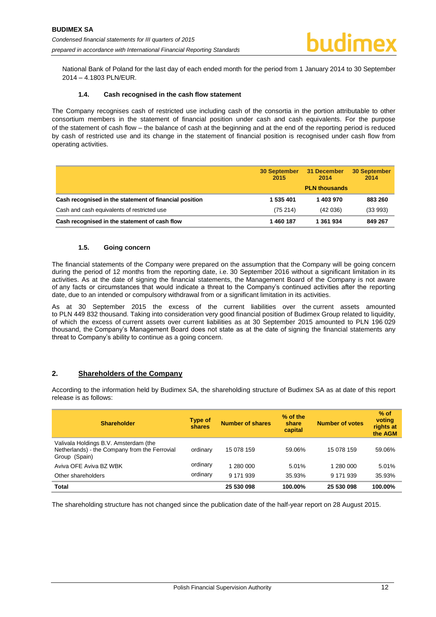National Bank of Poland for the last day of each ended month for the period from 1 January 2014 to 30 September 2014 – 4.1803 PLN/EUR.

#### **1.4. Cash recognised in the cash flow statement**

<span id="page-12-0"></span>The Company recognises cash of restricted use including cash of the consortia in the portion attributable to other consortium members in the statement of financial position under cash and cash equivalents. For the purpose of the statement of cash flow – the balance of cash at the beginning and at the end of the reporting period is reduced by cash of restricted use and its change in the statement of financial position is recognised under cash flow from operating activities.

|                                                        | <b>30 September</b><br>2015 | 31 December<br>2014  | <b>30 September</b><br>2014 |
|--------------------------------------------------------|-----------------------------|----------------------|-----------------------------|
|                                                        |                             | <b>PLN thousands</b> |                             |
| Cash recognised in the statement of financial position | 1 535 401                   | 1 403 970            | 883 260                     |
| Cash and cash equivalents of restricted use            | (75214)                     | (42036)              | (33993)                     |
| Cash recognised in the statement of cash flow          | 1460187                     | 1 361 934            | 849 267                     |

#### **1.5. Going concern**

<span id="page-12-1"></span>The financial statements of the Company were prepared on the assumption that the Company will be going concern during the period of 12 months from the reporting date, i.e. 30 September 2016 without a significant limitation in its activities. As at the date of signing the financial statements, the Management Board of the Company is not aware of any facts or circumstances that would indicate a threat to the Company's continued activities after the reporting date, due to an intended or compulsory withdrawal from or a significant limitation in its activities.

As at 30 September 2015 the excess of the current liabilities over the current assets amounted to PLN 449 832 thousand. Taking into consideration very good financial position of Budimex Group related to liquidity, of which the excess of current assets over current liabilities as at 30 September 2015 amounted to PLN 196 029 thousand, the Company's Management Board does not state as at the date of signing the financial statements any threat to Company's ability to continue as a going concern.

# <span id="page-12-2"></span>**2. Shareholders of the Company**

According to the information held by Budimex SA, the shareholding structure of Budimex SA as at date of this report release is as follows:

| <b>Shareholder</b>                                                                                      | Type of<br>shares | <b>Number of shares</b> | % of the<br>share<br>capital | <b>Number of votes</b> | $%$ of<br>voting<br>rights at<br>the AGM |
|---------------------------------------------------------------------------------------------------------|-------------------|-------------------------|------------------------------|------------------------|------------------------------------------|
| Valivala Holdings B.V. Amsterdam (the<br>Netherlands) - the Company from the Ferrovial<br>Group (Spain) | ordinary          | 15 078 159              | 59.06%                       | 15 078 159             | 59.06%                                   |
| Aviva OFE Aviva BZ WBK                                                                                  | ordinary          | 1 280 000               | 5.01%                        | 1 280 000              | 5.01%                                    |
| Other shareholders                                                                                      | ordinary          | 9 171 939               | 35.93%                       | 9 171 939              | 35.93%                                   |
| <b>Total</b>                                                                                            |                   | 25 530 098              | 100.00%                      | 25 530 098             | 100.00%                                  |

The shareholding structure has not changed since the publication date of the half-year report on 28 August 2015.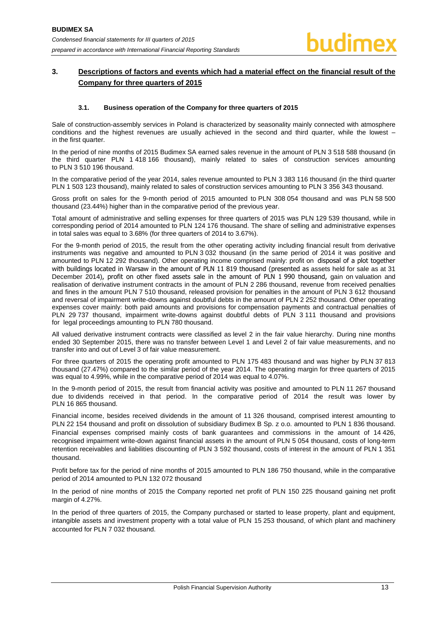# <span id="page-13-0"></span>**3. Descriptions of factors and events which had a material effect on the financial result of the Company for three quarters of 2015**

#### **3.1. Business operation of the Company for three quarters of 2015**

<span id="page-13-1"></span>Sale of construction-assembly services in Poland is characterized by seasonality mainly connected with atmosphere conditions and the highest revenues are usually achieved in the second and third quarter, while the lowest – in the first quarter.

In the period of nine months of 2015 Budimex SA earned sales revenue in the amount of PLN 3 518 588 thousand (in the third quarter PLN 1 418 166 thousand), mainly related to sales of construction services amounting to PLN 3 510 196 thousand.

In the comparative period of the year 2014, sales revenue amounted to PLN 3 383 116 thousand (in the third quarter PLN 1 503 123 thousand), mainly related to sales of construction services amounting to PLN 3 356 343 thousand.

Gross profit on sales for the 9-month period of 2015 amounted to PLN 308 054 thousand and was PLN 58 500 thousand (23.44%) higher than in the comparative period of the previous year.

Total amount of administrative and selling expenses for three quarters of 2015 was PLN 129 539 thousand, while in corresponding period of 2014 amounted to PLN 124 176 thousand. The share of selling and administrative expenses in total sales was equal to 3.68% (for three quarters of 2014 to 3.67%).

For the 9-month period of 2015, the result from the other operating activity including financial result from derivative instruments was negative and amounted to PLN 3 032 thousand (in the same period of 2014 it was positive and amounted to PLN 12 292 thousand). Other operating income comprised mainly: profit on disposal of a plot together with buildings located in Warsaw in the amount of PLN 11 819 thousand (presented as assets held for sale as at 31 December 2014), profit on other fixed assets sale in the amount of PLN 1 990 thousand, gain on valuation and realisation of derivative instrument contracts in the amount of PLN 2 286 thousand, revenue from received penalties and fines in the amount PLN 7 510 thousand, released provision for penalties in the amount of PLN 3 612 thousand and reversal of impairment write-downs against doubtful debts in the amount of PLN 2 252 thousand. Other operating expenses cover mainly: both paid amounts and provisions for compensation payments and contractual penalties of PLN 29 737 thousand, impairment write-downs against doubtful debts of PLN 3 111 thousand and provisions for legal proceedings amounting to PLN 780 thousand.

All valued derivative instrument contracts were classified as level 2 in the fair value hierarchy. During nine months ended 30 September 2015, there was no transfer between Level 1 and Level 2 of fair value measurements, and no transfer into and out of Level 3 of fair value measurement.

For three quarters of 2015 the operating profit amounted to PLN 175 483 thousand and was higher by PLN 37 813 thousand (27.47%) compared to the similar period of the year 2014. The operating margin for three quarters of 2015 was equal to 4.99%, while in the comparative period of 2014 was equal to 4.07%.

In the 9-month period of 2015, the result from financial activity was positive and amounted to PLN 11 267 thousand due to dividends received in that period. In the comparative period of 2014 the result was lower by PLN 16 865 thousand.

Financial income, besides received dividends in the amount of 11 326 thousand, comprised interest amounting to PLN 22 154 thousand and profit on dissolution of subsidiary Budimex B Sp. z o.o. amounted to PLN 1 836 thousand. Financial expenses comprised mainly costs of bank guarantees and commissions in the amount of 14 426, recognised impairment write-down against financial assets in the amount of PLN 5 054 thousand, costs of long-term retention receivables and liabilities discounting of PLN 3 592 thousand, costs of interest in the amount of PLN 1 351 thousand.

Profit before tax for the period of nine months of 2015 amounted to PLN 186 750 thousand, while in the comparative period of 2014 amounted to PLN 132 072 thousand

In the period of nine months of 2015 the Company reported net profit of PLN 150 225 thousand gaining net profit margin of 4.27%.

In the period of three quarters of 2015, the Company purchased or started to lease property, plant and equipment, intangible assets and investment property with a total value of PLN 15 253 thousand, of which plant and machinery accounted for PLN 7 032 thousand.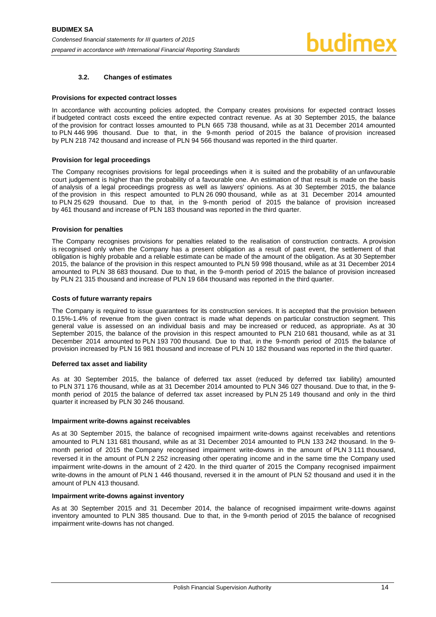# **3.2. Changes of estimates**

#### <span id="page-14-0"></span>**Provisions for expected contract losses**

In accordance with accounting policies adopted, the Company creates provisions for expected contract losses if budgeted contract costs exceed the entire expected contract revenue. As at 30 September 2015, the balance of the provision for contract losses amounted to PLN 665 738 thousand, while as at 31 December 2014 amounted to PLN 446 996 thousand. Due to that, in the 9-month period of 2015 the balance of provision increased by PLN 218 742 thousand and increase of PLN 94 566 thousand was reported in the third quarter.

#### **Provision for legal proceedings**

The Company recognises provisions for legal proceedings when it is suited and the probability of an unfavourable court judgement is higher than the probability of a favourable one. An estimation of that result is made on the basis of analysis of a legal proceedings progress as well as lawyers' opinions. As at 30 September 2015, the balance of the provision in this respect amounted to PLN 26 090 thousand, while as at 31 December 2014 amounted to PLN 25 629 thousand. Due to that, in the 9-month period of 2015 the balance of provision increased by 461 thousand and increase of PLN 183 thousand was reported in the third quarter.

#### **Provision for penalties**

The Company recognises provisions for penalties related to the realisation of construction contracts. A provision is recognised only when the Company has a present obligation as a result of past event, the settlement of that obligation is highly probable and a reliable estimate can be made of the amount of the obligation. As at 30 September 2015, the balance of the provision in this respect amounted to PLN 59 998 thousand, while as at 31 December 2014 amounted to PLN 38 683 thousand. Due to that, in the 9-month period of 2015 the balance of provision increased by PLN 21 315 thousand and increase of PLN 19 684 thousand was reported in the third quarter.

#### **Costs of future warranty repairs**

The Company is required to issue guarantees for its construction services. It is accepted that the provision between 0.15%-1.4% of revenue from the given contract is made what depends on particular construction segment. This general value is assessed on an individual basis and may be increased or reduced, as appropriate. As at 30 September 2015, the balance of the provision in this respect amounted to PLN 210 681 thousand, while as at 31 December 2014 amounted to PLN 193 700 thousand. Due to that, in the 9-month period of 2015 the balance of provision increased by PLN 16 981 thousand and increase of PLN 10 182 thousand was reported in the third quarter.

#### **Deferred tax asset and liability**

As at 30 September 2015, the balance of deferred tax asset (reduced by deferred tax liability) amounted to PLN 371 176 thousand, while as at 31 December 2014 amounted to PLN 346 027 thousand. Due to that, in the 9 month period of 2015 the balance of deferred tax asset increased by PLN 25 149 thousand and only in the third quarter it increased by PLN 30 246 thousand.

#### **Impairment write-downs against receivables**

As at 30 September 2015, the balance of recognised impairment write-downs against receivables and retentions amounted to PLN 131 681 thousand, while as at 31 December 2014 amounted to PLN 133 242 thousand. In the 9 month period of 2015 the Company recognised impairment write-downs in the amount of PLN 3 111 thousand, reversed it in the amount of PLN 2 252 increasing other operating income and in the same time the Company used impairment write-downs in the amount of 2 420. In the third quarter of 2015 the Company recognised impairment write-downs in the amount of PLN 1 446 thousand, reversed it in the amount of PLN 52 thousand and used it in the amount of PLN 413 thousand.

#### **Impairment write-downs against inventory**

As at 30 September 2015 and 31 December 2014, the balance of recognised impairment write-downs against inventory amounted to PLN 385 thousand. Due to that, in the 9-month period of 2015 the balance of recognised impairment write-downs has not changed.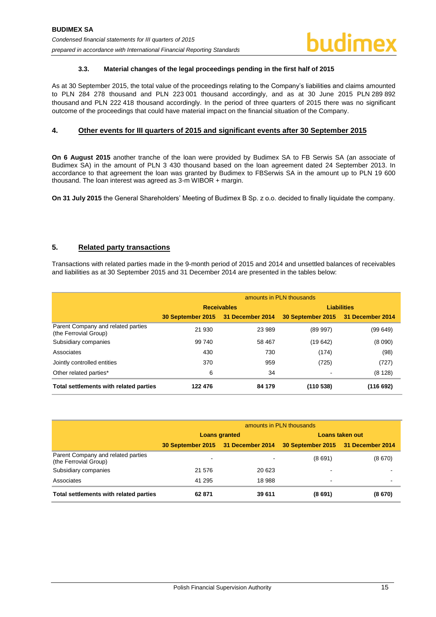# **3.3. Material changes of the legal proceedings pending in the first half of 2015**

<span id="page-15-0"></span>As at 30 September 2015, the total value of the proceedings relating to the Company's liabilities and claims amounted to PLN 284 278 thousand and PLN 223 001 thousand accordingly, and as at 30 June 2015 PLN 289 892 thousand and PLN 222 418 thousand accordingly. In the period of three quarters of 2015 there was no significant outcome of the proceedings that could have material impact on the financial situation of the Company.

# <span id="page-15-1"></span>**4. Other events for III quarters of 2015 and significant events after 30 September 2015**

**On 6 August 2015** another tranche of the loan were provided by Budimex SA to FB Serwis SA (an associate of Budimex SA) in the amount of PLN 3 430 thousand based on the loan agreement dated 24 September 2013. In accordance to that agreement the loan was granted by Budimex to FBSerwis SA in the amount up to PLN 19 600 thousand. The loan interest was agreed as 3-m WIBOR + margin.

**On 31 July 2015** the General Shareholders' Meeting of Budimex B Sp. z o.o. decided to finally liquidate the company.

# <span id="page-15-2"></span>**5. Related party transactions**

Transactions with related parties made in the 9-month period of 2015 and 2014 and unsettled balances of receivables and liabilities as at 30 September 2015 and 31 December 2014 are presented in the tables below:

|                                                             | amounts in PLN thousands           |                    |                                    |          |  |  |  |
|-------------------------------------------------------------|------------------------------------|--------------------|------------------------------------|----------|--|--|--|
|                                                             |                                    | <b>Receivables</b> | <b>Liabilities</b>                 |          |  |  |  |
|                                                             | 30 September 2015 31 December 2014 |                    | 30 September 2015 31 December 2014 |          |  |  |  |
| Parent Company and related parties<br>(the Ferrovial Group) | 21 930                             | 23 989             | (89997)                            | (99 649) |  |  |  |
| Subsidiary companies                                        | 99 740                             | 58 467             | (19 642)                           | (8090)   |  |  |  |
| Associates                                                  | 430                                | 730                | (174)                              | (98)     |  |  |  |
| Jointly controlled entities                                 | 370                                | 959                | (725)                              | (727)    |  |  |  |
| Other related parties*                                      | 6                                  | 34                 |                                    | (8128)   |  |  |  |
| Total settlements with related parties                      | 122 476                            | 84 179             | (110538)                           | (116692) |  |  |  |

|                                                             | amounts in PLN thousands |                                    |                                    |        |
|-------------------------------------------------------------|--------------------------|------------------------------------|------------------------------------|--------|
|                                                             | <b>Loans granted</b>     |                                    | Loans taken out                    |        |
|                                                             |                          | 30 September 2015 31 December 2014 | 30 September 2015 31 December 2014 |        |
| Parent Company and related parties<br>(the Ferrovial Group) | $\,$                     | $\overline{\phantom{0}}$           | (8691)                             | (8670) |
| Subsidiary companies                                        | 21 576                   | 20 623                             |                                    |        |
| Associates                                                  | 41 295                   | 18 988                             |                                    | ٠      |
| Total settlements with related parties                      | 62871                    | 39 611                             | (8691)                             | (8670) |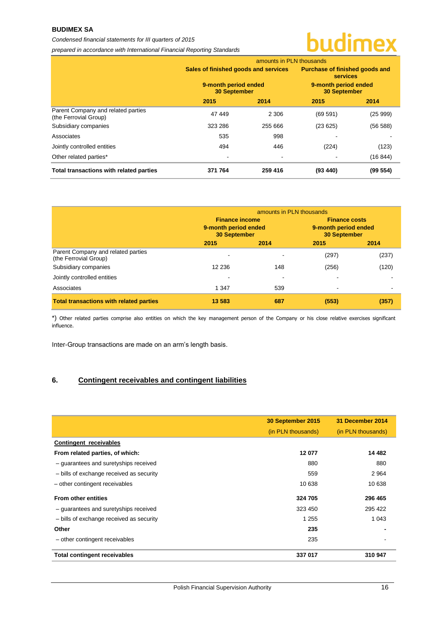# **BUDIMEX SA**

#### *Condensed financial statements for III quarters of 2015*

*prepared in accordance with International Financial Reporting Standards*

# budimex

|                                                             | amounts in PLN thousands                                                            |         |                                                                                                  |          |
|-------------------------------------------------------------|-------------------------------------------------------------------------------------|---------|--------------------------------------------------------------------------------------------------|----------|
|                                                             | Sales of finished goods and services<br>9-month period ended<br><b>30 September</b> |         | Purchase of finished goods and<br><b>services</b><br>9-month period ended<br><b>30 September</b> |          |
|                                                             |                                                                                     |         |                                                                                                  |          |
|                                                             | 2015                                                                                | 2014    | 2015                                                                                             | 2014     |
| Parent Company and related parties<br>(the Ferrovial Group) | 47 449                                                                              | 2 3 0 6 | (69 591)                                                                                         | (25999)  |
| Subsidiary companies                                        | 323 286                                                                             | 255 666 | (23625)                                                                                          | (56588)  |
| Associates                                                  | 535                                                                                 | 998     |                                                                                                  |          |
| Jointly controlled entities                                 | 494                                                                                 | 446     | (224)                                                                                            | (123)    |
| Other related parties*                                      | ۰                                                                                   |         |                                                                                                  | (16844)  |
| Total transactions with related parties                     | 371 764                                                                             | 259 416 | (93, 440)                                                                                        | (99 554) |

|                                                             | amounts in PLN thousands                                             |      |                                                                     |       |
|-------------------------------------------------------------|----------------------------------------------------------------------|------|---------------------------------------------------------------------|-------|
|                                                             | <b>Finance income</b><br>9-month period ended<br><b>30 September</b> |      | <b>Finance costs</b><br>9-month period ended<br><b>30 September</b> |       |
|                                                             |                                                                      |      |                                                                     |       |
|                                                             | 2015                                                                 | 2014 | 2015                                                                | 2014  |
| Parent Company and related parties<br>(the Ferrovial Group) |                                                                      |      | (297)                                                               | (237) |
| Subsidiary companies                                        | 12 2 36                                                              | 148  | (256)                                                               | (120) |
| Jointly controlled entities                                 |                                                                      |      |                                                                     |       |
| Associates                                                  | 1 3 4 7                                                              | 539  | ÷                                                                   |       |
| <b>Total transactions with related parties</b>              | 13 5 83                                                              | 687  | (553)                                                               | (357) |

\*) Other related parties comprise also entities on which the key management person of the Company or his close relative exercises significant influence.

Inter-Group transactions are made on an arm's length basis.

# <span id="page-16-0"></span>**6. Contingent receivables and contingent liabilities**

|                                          | 30 September 2015  | 31 December 2014   |
|------------------------------------------|--------------------|--------------------|
|                                          | (in PLN thousands) | (in PLN thousands) |
| Contingent receivables                   |                    |                    |
| From related parties, of which:          | 12 077             | 14 4 8 2           |
| - guarantees and suretyships received    | 880                | 880                |
| - bills of exchange received as security | 559                | 2964               |
| - other contingent receivables           | 10 638             | 10 638             |
| <b>From other entities</b>               | 324 705            | 296 465            |
| - guarantees and suretyships received    | 323 450            | 295 422            |
| - bills of exchange received as security | 1 2 5 5            | 1 0 4 3            |
| Other                                    | 235                |                    |
| - other contingent receivables           | 235                |                    |
| <b>Total contingent receivables</b>      | 337 017            | 310 947            |